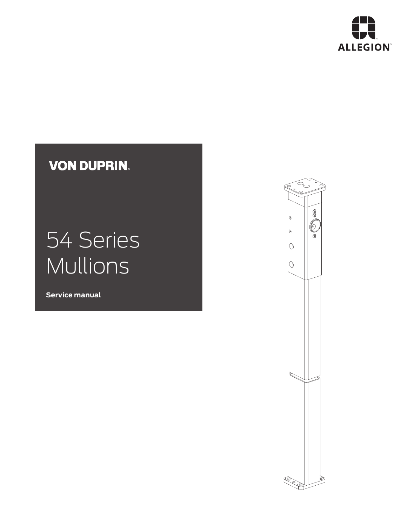

## **VON DUPRIN.**

# 54 Series Mullions

**Service manual**

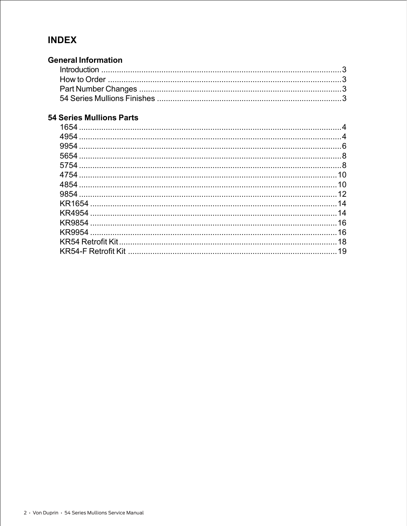#### **INDEX**

#### **General Information**

#### **54 Series Mullions Parts**

| 4954          | 4  |
|---------------|----|
| 9954          |    |
|               |    |
|               |    |
| 4754          | 10 |
|               | 10 |
|               |    |
| <b>KR1654</b> | 14 |
|               | 14 |
|               | 16 |
|               | 16 |
|               | 18 |
|               | 19 |
|               |    |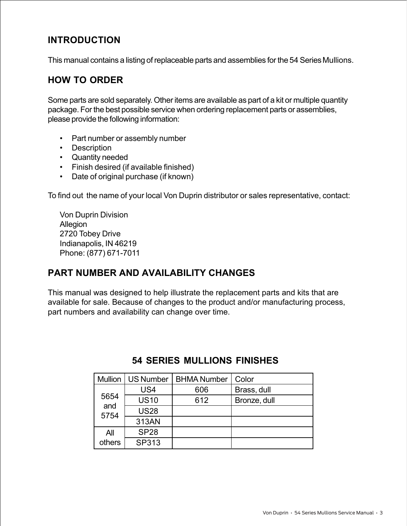#### **INTRODUCTION**

This manual contains a listing of replaceable parts and assemblies for the 54 Series Mullions.

#### **HOW TO ORDER**

Some parts are sold separately. Other items are available as part of a kit or multiple quantity package. For the best possible service when ordering replacement parts or assemblies, please provide the following information:

- Part number or assembly number
- Description
- Quantity needed
- Finish desired (if available finished)
- Date of original purchase (if known)

To find out the name of your local Von Duprin distributor or sales representative, contact:

Von Duprin Division Allegion 2720 Tobey Drive Indianapolis, IN 46219 Phone: (877) 671-7011

#### **PART NUMBER AND AVAILABILITY CHANGES**

This manual was designed to help illustrate the replacement parts and kits that are available for sale. Because of changes to the product and/or manufacturing process, part numbers and availability can change over time.

| <b>Mullion</b> | <b>US Number</b> | <b>BHMA Number</b> | Color        |
|----------------|------------------|--------------------|--------------|
|                | US4              | 606                | Brass, dull  |
| 5654           | <b>US10</b>      | 612                | Bronze, dull |
| and<br>5754    | <b>US28</b>      |                    |              |
|                | 313AN            |                    |              |
| All            | <b>SP28</b>      |                    |              |
| others         | SP313            |                    |              |

#### **54 SERIES MULLIONS FINISHES**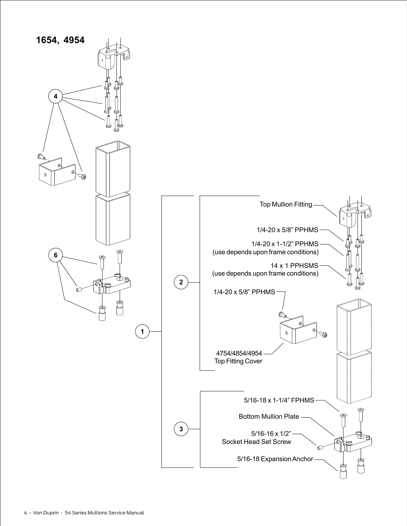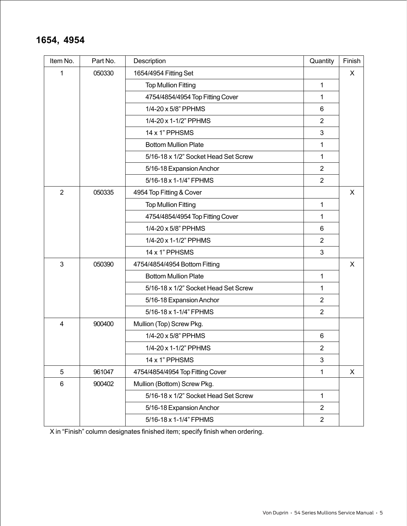#### **1654, 4954**

| Item No.       | Part No. | Description                          | Quantity       | Finish |
|----------------|----------|--------------------------------------|----------------|--------|
| 1              | 050330   | 1654/4954 Fitting Set                |                | X      |
|                |          | <b>Top Mullion Fitting</b>           | 1              |        |
|                |          | 4754/4854/4954 Top Fitting Cover     | 1              |        |
|                |          | 1/4-20 x 5/8" PPHMS                  | 6              |        |
|                |          | 1/4-20 x 1-1/2" PPHMS                | $\overline{2}$ |        |
|                |          | 14 x 1" PPHSMS                       | 3              |        |
|                |          | <b>Bottom Mullion Plate</b>          | 1              |        |
|                |          | 5/16-18 x 1/2" Socket Head Set Screw | $\mathbf{1}$   |        |
|                |          | 5/16-18 Expansion Anchor             | $\overline{2}$ |        |
|                |          | 5/16-18 x 1-1/4" FPHMS               | $\overline{2}$ |        |
| $\overline{2}$ | 050335   | 4954 Top Fitting & Cover             |                | X      |
|                |          | <b>Top Mullion Fitting</b>           | 1              |        |
|                |          | 4754/4854/4954 Top Fitting Cover     | 1              |        |
|                |          | 1/4-20 x 5/8" PPHMS                  | 6              |        |
|                |          | 1/4-20 x 1-1/2" PPHMS                | $\overline{2}$ |        |
|                |          | 14 x 1" PPHSMS                       | 3              |        |
| 3              | 050390   | 4754/4854/4954 Bottom Fitting        |                | X      |
|                |          | <b>Bottom Mullion Plate</b>          | 1              |        |
|                |          | 5/16-18 x 1/2" Socket Head Set Screw | $\mathbf{1}$   |        |
|                |          | 5/16-18 Expansion Anchor             | $\overline{2}$ |        |
|                |          | 5/16-18 x 1-1/4" FPHMS               | $\overline{2}$ |        |
| 4              | 900400   | Mullion (Top) Screw Pkg.             |                |        |
|                |          | 1/4-20 x 5/8" PPHMS                  | 6              |        |
|                |          | 1/4-20 x 1-1/2" PPHMS                | $\overline{2}$ |        |
|                |          | 14 x 1" PPHSMS                       | 3              |        |
| 5              | 961047   | 4754/4854/4954 Top Fitting Cover     | $\mathbf{1}$   | X      |
| 6              | 900402   | Mullion (Bottom) Screw Pkg.          |                |        |
|                |          | 5/16-18 x 1/2" Socket Head Set Screw | $\mathbf{1}$   |        |
|                |          | 5/16-18 Expansion Anchor             | $\overline{2}$ |        |
|                |          | 5/16-18 x 1-1/4" FPHMS               | $\overline{2}$ |        |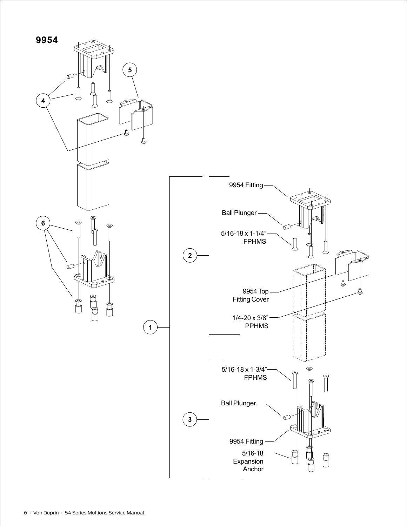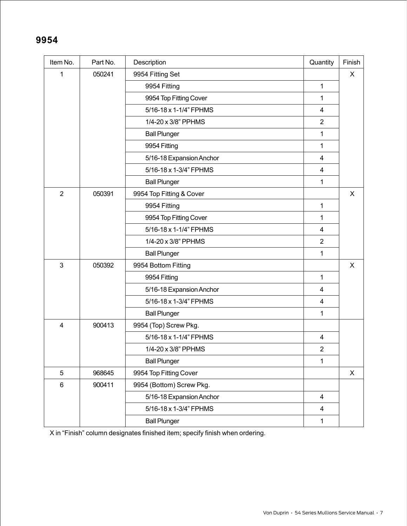#### **9954**

| Item No.       | Part No. | Description              | Quantity                | Finish |
|----------------|----------|--------------------------|-------------------------|--------|
| 1              | 050241   | 9954 Fitting Set         |                         | X      |
|                |          | 9954 Fitting             | 1                       |        |
|                |          | 9954 Top Fitting Cover   | 1                       |        |
|                |          | 5/16-18 x 1-1/4" FPHMS   | $\overline{4}$          |        |
|                |          | 1/4-20 x 3/8" PPHMS      | $\overline{2}$          |        |
|                |          | <b>Ball Plunger</b>      | 1                       |        |
|                |          | 9954 Fitting             | 1                       |        |
|                |          | 5/16-18 Expansion Anchor | $\overline{4}$          |        |
|                |          | 5/16-18 x 1-3/4" FPHMS   | $\overline{4}$          |        |
|                |          | <b>Ball Plunger</b>      | 1                       |        |
| $\overline{2}$ | 050391   | 9954 Top Fitting & Cover |                         | X      |
|                |          | 9954 Fitting             | 1                       |        |
|                |          | 9954 Top Fitting Cover   | 1                       |        |
|                |          | 5/16-18 x 1-1/4" FPHMS   | $\overline{4}$          |        |
|                |          | 1/4-20 x 3/8" PPHMS      | $\overline{2}$          |        |
|                |          | <b>Ball Plunger</b>      | 1                       |        |
| 3              | 050392   | 9954 Bottom Fitting      |                         | X      |
|                |          | 9954 Fitting             | $\mathbf{1}$            |        |
|                |          | 5/16-18 Expansion Anchor | $\overline{\mathbf{4}}$ |        |
|                |          | 5/16-18 x 1-3/4" FPHMS   | $\overline{4}$          |        |
|                |          | <b>Ball Plunger</b>      | 1                       |        |
| 4              | 900413   | 9954 (Top) Screw Pkg.    |                         |        |
|                |          | 5/16-18 x 1-1/4" FPHMS   | $\overline{\mathbf{4}}$ |        |
|                |          | 1/4-20 x 3/8" PPHMS      | $\overline{2}$          |        |
|                |          | <b>Ball Plunger</b>      | 1                       |        |
| 5              | 968645   | 9954 Top Fitting Cover   |                         | X      |
| $\,6$          | 900411   | 9954 (Bottom) Screw Pkg. |                         |        |
|                |          | 5/16-18 Expansion Anchor | $\overline{4}$          |        |
|                |          | 5/16-18 x 1-3/4" FPHMS   | $\overline{\mathbf{4}}$ |        |
|                |          | <b>Ball Plunger</b>      | $\mathbf{1}$            |        |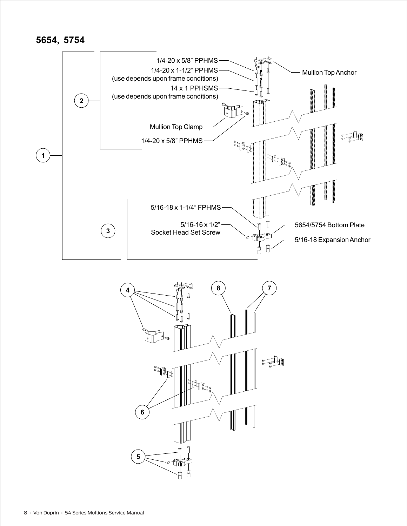$$
5654,\; 5754
$$



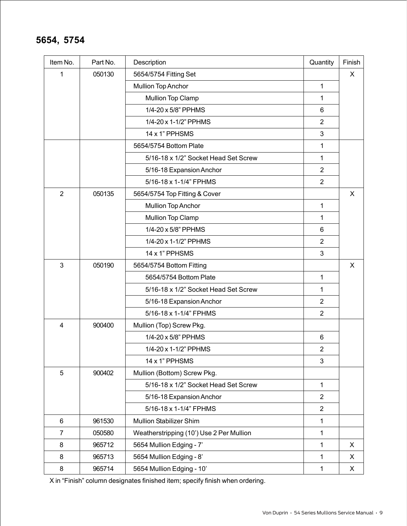#### **5654, 5754**

| Item No.       | Part No. | Description                              | Quantity       | Finish |
|----------------|----------|------------------------------------------|----------------|--------|
| 1              | 050130   | 5654/5754 Fitting Set                    |                | X      |
|                |          | <b>Mullion Top Anchor</b>                | 1              |        |
|                |          | <b>Mullion Top Clamp</b>                 | 1              |        |
|                |          | 1/4-20 x 5/8" PPHMS                      | 6              |        |
|                |          | 1/4-20 x 1-1/2" PPHMS                    | $\overline{2}$ |        |
|                |          | 14 x 1" PPHSMS                           | 3              |        |
|                |          | 5654/5754 Bottom Plate                   | 1              |        |
|                |          | 5/16-18 x 1/2" Socket Head Set Screw     | 1              |        |
|                |          | 5/16-18 Expansion Anchor                 | $\overline{2}$ |        |
|                |          | 5/16-18 x 1-1/4" FPHMS                   | $\overline{2}$ |        |
| $\overline{2}$ | 050135   | 5654/5754 Top Fitting & Cover            |                | X      |
|                |          | <b>Mullion Top Anchor</b>                | 1              |        |
|                |          | Mullion Top Clamp                        | 1              |        |
|                |          | 1/4-20 x 5/8" PPHMS                      | 6              |        |
|                |          | 1/4-20 x 1-1/2" PPHMS                    | $\overline{2}$ |        |
|                |          | 14 x 1" PPHSMS                           | 3              |        |
| 3              | 050190   | 5654/5754 Bottom Fitting                 |                | X      |
|                |          | 5654/5754 Bottom Plate                   | 1              |        |
|                |          | 5/16-18 x 1/2" Socket Head Set Screw     | 1              |        |
|                |          | 5/16-18 Expansion Anchor                 | $\overline{2}$ |        |
|                |          | 5/16-18 x 1-1/4" FPHMS                   | 2              |        |
| 4              | 900400   | Mullion (Top) Screw Pkg.                 |                |        |
|                |          | 1/4-20 x 5/8" PPHMS                      | 6              |        |
|                |          | 1/4-20 x 1-1/2" PPHMS                    | $\overline{2}$ |        |
|                |          | 14 x 1" PPHSMS                           | 3              |        |
| 5              | 900402   | Mullion (Bottom) Screw Pkg.              |                |        |
|                |          | 5/16-18 x 1/2" Socket Head Set Screw     | 1              |        |
|                |          | 5/16-18 Expansion Anchor                 | $\overline{2}$ |        |
|                |          | 5/16-18 x 1-1/4" FPHMS                   | $\overline{2}$ |        |
| 6              | 961530   | <b>Mullion Stabilizer Shim</b>           | 1              |        |
| $\overline{7}$ | 050580   | Weatherstripping (10') Use 2 Per Mullion | 1              |        |
| 8              | 965712   | 5654 Mullion Edging - 7'                 | 1              | X      |
| 8              | 965713   | 5654 Mullion Edging - 8'                 | 1              | X      |
| 8              | 965714   | 5654 Mullion Edging - 10'                | 1              | X      |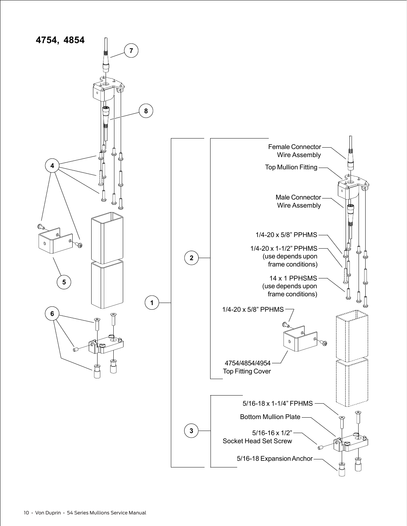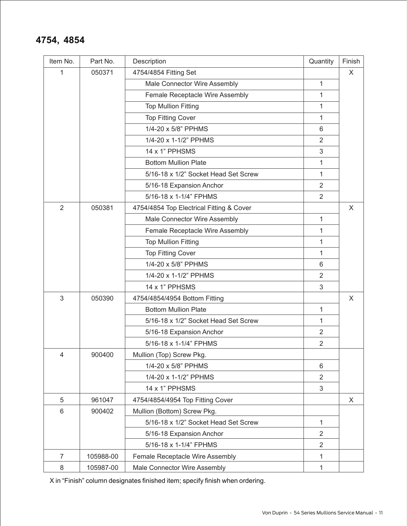#### **4754, 4854**

| Item No. | Part No.  | Description                              | Quantity       | Finish |
|----------|-----------|------------------------------------------|----------------|--------|
| 1        | 050371    | 4754/4854 Fitting Set                    |                | X      |
|          |           | Male Connector Wire Assembly             | 1              |        |
|          |           | Female Receptacle Wire Assembly          | 1              |        |
|          |           | <b>Top Mullion Fitting</b>               | 1              |        |
|          |           | <b>Top Fitting Cover</b>                 | 1              |        |
|          |           | 1/4-20 x 5/8" PPHMS                      | 6              |        |
|          |           | 1/4-20 x 1-1/2" PPHMS                    | $\overline{2}$ |        |
|          |           | 14 x 1" PPHSMS                           | 3              |        |
|          |           | <b>Bottom Mullion Plate</b>              | 1              |        |
|          |           | 5/16-18 x 1/2" Socket Head Set Screw     | 1              |        |
|          |           | 5/16-18 Expansion Anchor                 | $\overline{2}$ |        |
|          |           | 5/16-18 x 1-1/4" FPHMS                   | 2              |        |
| 2        | 050381    | 4754/4854 Top Electrical Fitting & Cover |                | X      |
|          |           | Male Connector Wire Assembly             | 1              |        |
|          |           | Female Receptacle Wire Assembly          | 1              |        |
|          |           | <b>Top Mullion Fitting</b>               | 1              |        |
|          |           | <b>Top Fitting Cover</b>                 | 1              |        |
|          |           | 1/4-20 x 5/8" PPHMS                      | 6              |        |
|          |           | 1/4-20 x 1-1/2" PPHMS                    | $\overline{2}$ |        |
|          |           | 14 x 1" PPHSMS                           | 3              |        |
| 3        | 050390    | 4754/4854/4954 Bottom Fitting            |                | X      |
|          |           | <b>Bottom Mullion Plate</b>              | 1              |        |
|          |           | 5/16-18 x 1/2" Socket Head Set Screw     | 1              |        |
|          |           | 5/16-18 Expansion Anchor                 | 2              |        |
|          |           | 5/16-18 x 1-1/4" FPHMS                   | $\overline{2}$ |        |
| 4        | 900400    | Mullion (Top) Screw Pkg.                 |                |        |
|          |           | 1/4-20 x 5/8" PPHMS                      | 6              |        |
|          |           | 1/4-20 x 1-1/2" PPHMS                    | $\overline{2}$ |        |
|          |           | 14 x 1" PPHSMS                           | 3              |        |
| 5        | 961047    | 4754/4854/4954 Top Fitting Cover         |                | X      |
| 6        | 900402    | Mullion (Bottom) Screw Pkg.              |                |        |
|          |           | 5/16-18 x 1/2" Socket Head Set Screw     | $\mathbf{1}$   |        |
|          |           | 5/16-18 Expansion Anchor                 | $\overline{2}$ |        |
|          |           | 5/16-18 x 1-1/4" FPHMS                   | 2              |        |
| 7        | 105988-00 | Female Receptacle Wire Assembly          | 1              |        |
| $\,8\,$  | 105987-00 | Male Connector Wire Assembly             | 1              |        |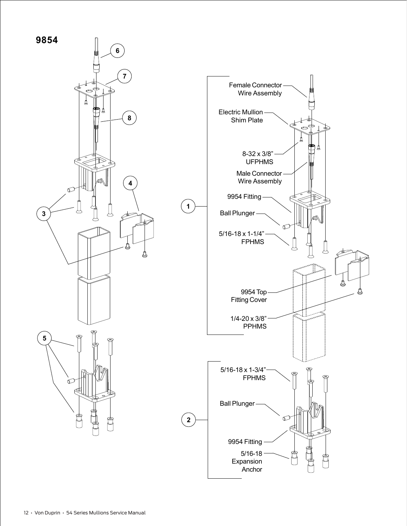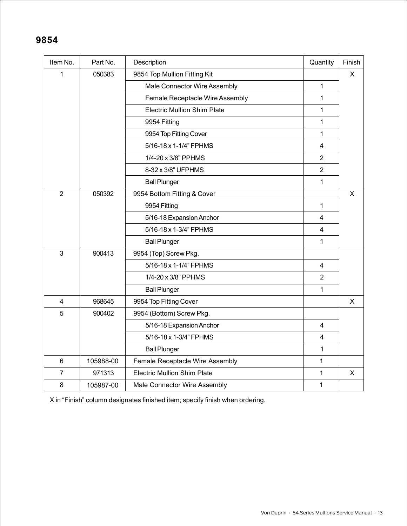#### **9854**

| Item No.                | Part No.  | Description                        | Quantity       | Finish |
|-------------------------|-----------|------------------------------------|----------------|--------|
| $\mathbf{1}$            | 050383    | 9854 Top Mullion Fitting Kit       |                | X      |
|                         |           | Male Connector Wire Assembly       | $\mathbf{1}$   |        |
|                         |           | Female Receptacle Wire Assembly    | 1              |        |
|                         |           | <b>Electric Mullion Shim Plate</b> | 1              |        |
|                         |           | 9954 Fitting                       | 1              |        |
|                         |           | 9954 Top Fitting Cover             | 1              |        |
|                         |           | 5/16-18 x 1-1/4" FPHMS             | $\overline{4}$ |        |
|                         |           | 1/4-20 x 3/8" PPHMS                | $\overline{2}$ |        |
|                         |           | 8-32 x 3/8" UFPHMS                 | $\overline{2}$ |        |
|                         |           | <b>Ball Plunger</b>                | $\mathbf{1}$   |        |
| $\overline{2}$          | 050392    | 9954 Bottom Fitting & Cover        |                | X      |
|                         |           | 9954 Fitting                       | $\mathbf{1}$   |        |
|                         |           | 5/16-18 Expansion Anchor           | 4              |        |
|                         |           | 5/16-18 x 1-3/4" FPHMS             | $\overline{4}$ |        |
|                         |           | <b>Ball Plunger</b>                | $\mathbf{1}$   |        |
| 3                       | 900413    | 9954 (Top) Screw Pkg.              |                |        |
|                         |           | 5/16-18 x 1-1/4" FPHMS             | 4              |        |
|                         |           | 1/4-20 x 3/8" PPHMS                | $\overline{2}$ |        |
|                         |           | <b>Ball Plunger</b>                | 1              |        |
| $\overline{\mathbf{4}}$ | 968645    | 9954 Top Fitting Cover             |                | X      |
| 5                       | 900402    | 9954 (Bottom) Screw Pkg.           |                |        |
|                         |           | 5/16-18 Expansion Anchor           | $\overline{4}$ |        |
|                         |           | 5/16-18 x 1-3/4" FPHMS             | $\overline{4}$ |        |
|                         |           | <b>Ball Plunger</b>                | 1              |        |
| 6                       | 105988-00 | Female Receptacle Wire Assembly    | $\mathbf{1}$   |        |
| $\overline{7}$          | 971313    | <b>Electric Mullion Shim Plate</b> | $\mathbf{1}$   | X      |
| 8                       | 105987-00 | Male Connector Wire Assembly       | 1              |        |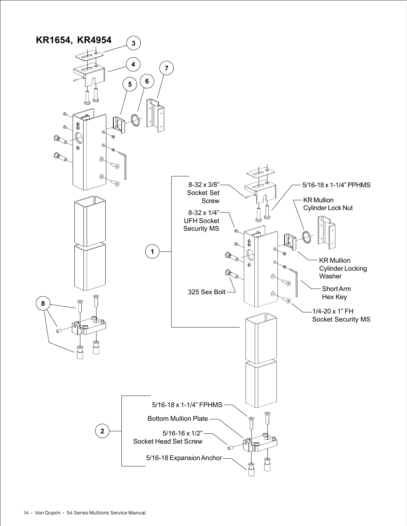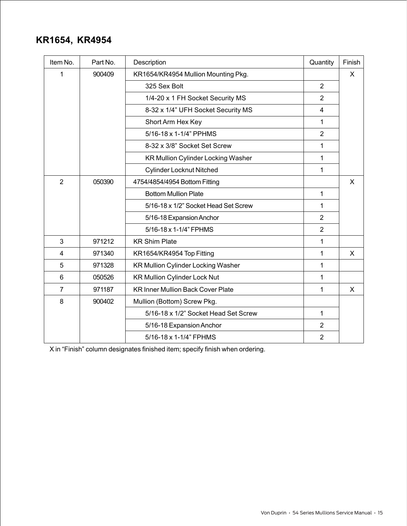#### **KR1654, KR4954**

| Item No.       | Part No. | Description                               | Quantity       | Finish       |
|----------------|----------|-------------------------------------------|----------------|--------------|
| 1              | 900409   | KR1654/KR4954 Mullion Mounting Pkg.       |                | $\mathsf{X}$ |
|                |          | 325 Sex Bolt                              | $\overline{2}$ |              |
|                |          | 1/4-20 x 1 FH Socket Security MS          | $\overline{2}$ |              |
|                |          | 8-32 x 1/4" UFH Socket Security MS        | $\overline{4}$ |              |
|                |          | Short Arm Hex Key                         | $\mathbf{1}$   |              |
|                |          | 5/16-18 x 1-1/4" PPHMS                    | $\overline{2}$ |              |
|                |          | 8-32 x 3/8" Socket Set Screw              | 1              |              |
|                |          | KR Mullion Cylinder Locking Washer        | 1              |              |
|                |          | <b>Cylinder Locknut Nitched</b>           | 1              |              |
| $\overline{2}$ | 050390   | 4754/4854/4954 Bottom Fitting             |                | X            |
|                |          | <b>Bottom Mullion Plate</b>               | $\mathbf 1$    |              |
|                |          | 5/16-18 x 1/2" Socket Head Set Screw      | 1              |              |
|                |          | 5/16-18 Expansion Anchor                  | $\overline{2}$ |              |
|                |          | 5/16-18 x 1-1/4" FPHMS                    | $\overline{2}$ |              |
| 3              | 971212   | <b>KR Shim Plate</b>                      | $\mathbf{1}$   |              |
| 4              | 971340   | KR1654/KR4954 Top Fitting                 | 1              | X            |
| 5              | 971328   | <b>KR Mullion Cylinder Locking Washer</b> | $\mathbf{1}$   |              |
| 6              | 050526   | <b>KR Mullion Cylinder Lock Nut</b>       | $\mathbf{1}$   |              |
| $\overline{7}$ | 971187   | <b>KR Inner Mullion Back Cover Plate</b>  | 1              | X            |
| 8              | 900402   | Mullion (Bottom) Screw Pkg.               |                |              |
|                |          | 5/16-18 x 1/2" Socket Head Set Screw      | $\mathbf{1}$   |              |
|                |          | 5/16-18 Expansion Anchor                  | $\overline{2}$ |              |
|                |          | 5/16-18 x 1-1/4" FPHMS                    | $\overline{2}$ |              |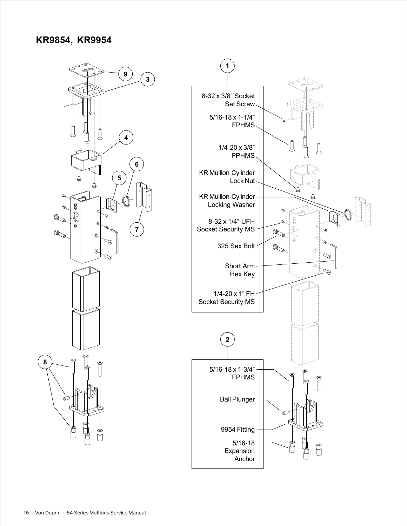#### **KR9854, KR9954**

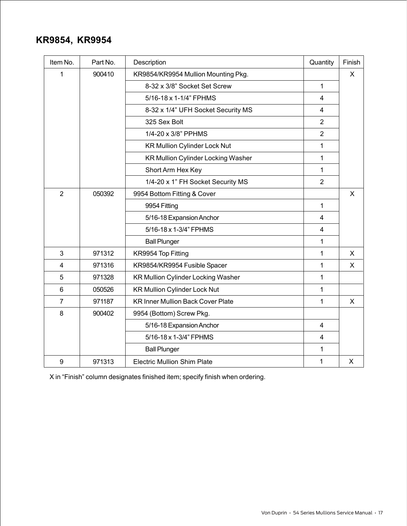#### **KR9854, KR9954**

| Item No.       | Part No. | Description                               | Quantity                | Finish       |
|----------------|----------|-------------------------------------------|-------------------------|--------------|
| 1              | 900410   | KR9854/KR9954 Mullion Mounting Pkg.       |                         | $\mathsf{X}$ |
|                |          | 8-32 x 3/8" Socket Set Screw              | $\mathbf{1}$            |              |
|                |          | 5/16-18 x 1-1/4" FPHMS                    | $\overline{4}$          |              |
|                |          | 8-32 x 1/4" UFH Socket Security MS        | 4                       |              |
|                |          | 325 Sex Bolt                              | $\overline{2}$          |              |
|                |          | 1/4-20 x 3/8" PPHMS                       | $\overline{2}$          |              |
|                |          | <b>KR Mullion Cylinder Lock Nut</b>       | $\mathbf{1}$            |              |
|                |          | <b>KR Mullion Cylinder Locking Washer</b> | $\mathbf{1}$            |              |
|                |          | Short Arm Hex Key                         | 1                       |              |
|                |          | 1/4-20 x 1" FH Socket Security MS         | $\overline{2}$          |              |
| $\overline{2}$ | 050392   | 9954 Bottom Fitting & Cover               |                         | X            |
|                |          | 9954 Fitting                              | $\mathbf{1}$            |              |
|                |          | 5/16-18 Expansion Anchor                  | $\overline{4}$          |              |
|                |          | 5/16-18 x 1-3/4" FPHMS                    | $\overline{4}$          |              |
|                |          | <b>Ball Plunger</b>                       | 1                       |              |
| 3              | 971312   | KR9954 Top Fitting                        | 1                       | X            |
| 4              | 971316   | KR9854/KR9954 Fusible Spacer              | $\mathbf{1}$            | X            |
| 5              | 971328   | <b>KR Mullion Cylinder Locking Washer</b> | $\mathbf{1}$            |              |
| $6\phantom{1}$ | 050526   | <b>KR Mullion Cylinder Lock Nut</b>       | $\mathbf{1}$            |              |
| $\overline{7}$ | 971187   | <b>KR Inner Mullion Back Cover Plate</b>  | 1                       | X            |
| 8              | 900402   | 9954 (Bottom) Screw Pkg.                  |                         |              |
|                |          | 5/16-18 Expansion Anchor                  | $\overline{\mathbf{4}}$ |              |
|                |          | 5/16-18 x 1-3/4" FPHMS                    | $\overline{4}$          |              |
|                |          | <b>Ball Plunger</b>                       | $\mathbf{1}$            |              |
| 9              | 971313   | <b>Electric Mullion Shim Plate</b>        | 1                       | X            |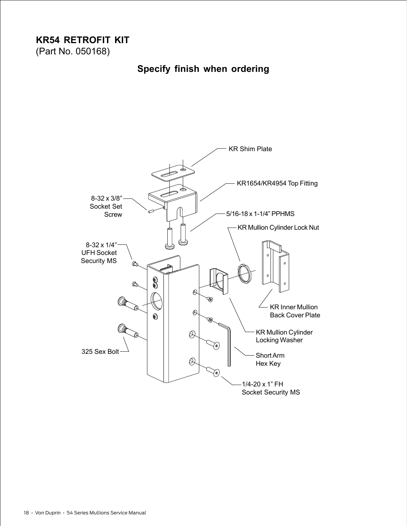## **KR54 RETROFIT KIT**

(Part No. 050168)

### **Specify finish when ordering**

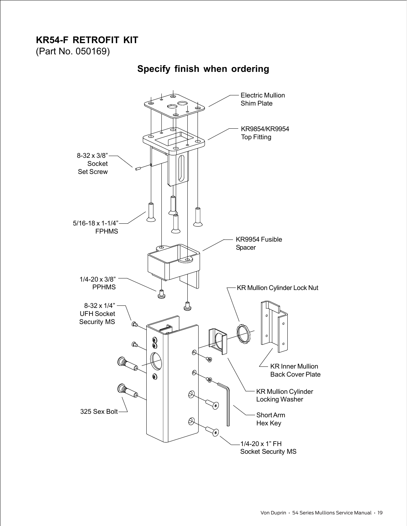#### **KR54-F RETROFIT KIT**

(Part No. 050169)

#### **Specify finish when ordering**